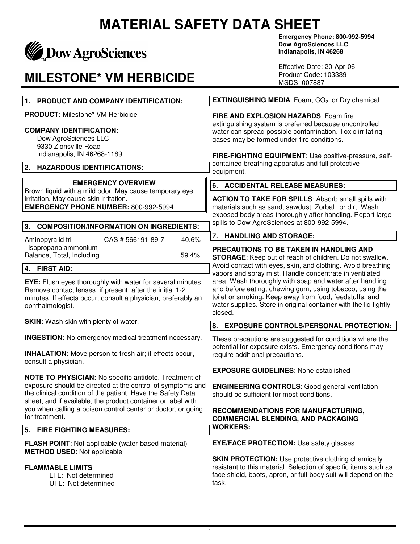## **MATERIAL SAFETY DATA SHEET**

# **MADOW AgroSciences**

#### **MILESTONE\* VM HERBICIDE**

**Emergency Phone: 800-992-5994 Dow AgroSciences LLC Indianapolis, IN 46268** 

Effective Date: 20-Apr-06 Product Code: 103339 MSDS: 007887

| 1. PRODUCT AND COMPANY IDENTIFICATION:                                                                                                                                                                                                                                                                                                      | <b>EXTINGUISHING MEDIA:</b> Foam, CO <sub>2</sub> , or Dry chemical                                                                                                                                                                                            |
|---------------------------------------------------------------------------------------------------------------------------------------------------------------------------------------------------------------------------------------------------------------------------------------------------------------------------------------------|----------------------------------------------------------------------------------------------------------------------------------------------------------------------------------------------------------------------------------------------------------------|
| <b>PRODUCT:</b> Milestone* VM Herbicide<br><b>COMPANY IDENTIFICATION:</b><br>Dow AgroSciences LLC<br>9330 Zionsville Road                                                                                                                                                                                                                   | FIRE AND EXPLOSION HAZARDS: Foam fire<br>extinguishing system is preferred because uncontrolled<br>water can spread possible contamination. Toxic irritating<br>gases may be formed under fire conditions.                                                     |
| Indianapolis, IN 46268-1189<br>2.<br><b>HAZARDOUS IDENTIFICATIONS:</b>                                                                                                                                                                                                                                                                      | FIRE-FIGHTING EQUIPMENT: Use positive-pressure, self-<br>contained breathing apparatus and full protective<br>equipment.                                                                                                                                       |
| <b>EMERGENCY OVERVIEW</b>                                                                                                                                                                                                                                                                                                                   | 6. ACCIDENTAL RELEASE MEASURES:                                                                                                                                                                                                                                |
| Brown liquid with a mild odor. May cause temporary eye<br>irritation. May cause skin irritation.<br><b>EMERGENCY PHONE NUMBER: 800-992-5994</b>                                                                                                                                                                                             | <b>ACTION TO TAKE FOR SPILLS: Absorb small spills with</b><br>materials such as sand, sawdust, Zorball, or dirt. Wash<br>exposed body areas thoroughly after handling. Report large<br>spills to Dow AgroSciences at 800-992-5994.                             |
| <b>COMPOSITION/INFORMATION ON INGREDIENTS:</b><br>3.                                                                                                                                                                                                                                                                                        | <b>HANDLING AND STORAGE:</b><br>7.                                                                                                                                                                                                                             |
| Aminopyralid tri-<br>CAS # 566191-89-7<br>40.6%<br>isopropanolammonium                                                                                                                                                                                                                                                                      |                                                                                                                                                                                                                                                                |
| Balance, Total, Including<br>59.4%                                                                                                                                                                                                                                                                                                          | PRECAUTIONS TO BE TAKEN IN HANDLING AND<br><b>STORAGE:</b> Keep out of reach of children. Do not swallow.                                                                                                                                                      |
| 4.<br><b>FIRST AID:</b>                                                                                                                                                                                                                                                                                                                     | Avoid contact with eyes, skin, and clothing. Avoid breathing<br>vapors and spray mist. Handle concentrate in ventilated                                                                                                                                        |
| <b>EYE:</b> Flush eyes thoroughly with water for several minutes.<br>Remove contact lenses, if present, after the initial 1-2<br>minutes. If effects occur, consult a physician, preferably an<br>ophthalmologist.                                                                                                                          | area. Wash thoroughly with soap and water after handling<br>and before eating, chewing gum, using tobacco, using the<br>toilet or smoking. Keep away from food, feedstuffs, and<br>water supplies. Store in original container with the lid tightly<br>closed. |
| <b>SKIN:</b> Wash skin with plenty of water.                                                                                                                                                                                                                                                                                                | <b>EXPOSURE CONTROLS/PERSONAL PROTECTION:</b><br>8.                                                                                                                                                                                                            |
| <b>INGESTION:</b> No emergency medical treatment necessary.<br><b>INHALATION:</b> Move person to fresh air; if effects occur,<br>consult a physician.                                                                                                                                                                                       | These precautions are suggested for conditions where the<br>potential for exposure exists. Emergency conditions may<br>require additional precautions.                                                                                                         |
|                                                                                                                                                                                                                                                                                                                                             | <b>EXPOSURE GUIDELINES: None established</b>                                                                                                                                                                                                                   |
| <b>NOTE TO PHYSICIAN:</b> No specific antidote. Treatment of<br>exposure should be directed at the control of symptoms and<br>the clinical condition of the patient. Have the Safety Data<br>sheet, and if available, the product container or label with<br>you when calling a poison control center or doctor, or going<br>for treatment. | <b>ENGINEERING CONTROLS: Good general ventilation</b><br>should be sufficient for most conditions.                                                                                                                                                             |
|                                                                                                                                                                                                                                                                                                                                             | RECOMMENDATIONS FOR MANUFACTURING,<br><b>COMMERCIAL BLENDING, AND PACKAGING</b><br><b>WORKERS:</b>                                                                                                                                                             |
| 5.<br><b>FIRE FIGHTING MEASURES:</b>                                                                                                                                                                                                                                                                                                        |                                                                                                                                                                                                                                                                |
| <b>FLASH POINT:</b> Not applicable (water-based material)<br><b>METHOD USED:</b> Not applicable                                                                                                                                                                                                                                             | <b>EYE/FACE PROTECTION:</b> Use safety glasses.                                                                                                                                                                                                                |
| <b>FLAMMABLE LIMITS</b><br>LFL: Not determined<br>UFL: Not determined                                                                                                                                                                                                                                                                       | <b>SKIN PROTECTION:</b> Use protective clothing chemically<br>resistant to this material. Selection of specific items such as<br>face shield, boots, apron, or full-body suit will depend on the<br>task.                                                      |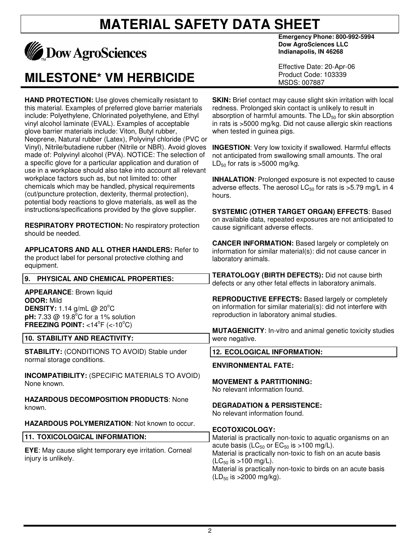## **MATERIAL SAFETY DATA SHEET**



#### **MILESTONE\* VM HERBICIDE**

**HAND PROTECTION:** Use gloves chemically resistant to this material. Examples of preferred glove barrier materials include: Polyethylene, Chlorinated polyethylene, and Ethyl vinyl alcohol laminate (EVAL). Examples of acceptable glove barrier materials include: Viton, Butyl rubber, Neoprene, Natural rubber (Latex), Polyvinyl chloride (PVC or Vinyl), Nitrile/butadiene rubber (Nitrile or NBR). Avoid gloves made of: Polyvinyl alcohol (PVA). NOTICE: The selection of a specific glove for a particular application and duration of use in a workplace should also take into account all relevant workplace factors such as, but not limited to: other chemicals which may be handled, physical requirements (cut/puncture protection, dexterity, thermal protection), potential body reactions to glove materials, as well as the instructions/specifications provided by the glove supplier.

**RESPIRATORY PROTECTION:** No respiratory protection should be needed.

**APPLICATORS AND ALL OTHER HANDLERS:** Refer to the product label for personal protective clothing and equipment.

**9. PHYSICAL AND CHEMICAL PROPERTIES:** 

**APPEARANCE**: Brown liquid

**DENSITY:** 1.14 g/mL @ 20°C **pH:** 7.33 @ 19.8°C for a 1% solution **FREEZING POINT:**  $<14^{\circ}$ F ( $<10^{\circ}$ C) **10. STABILITY AND REACTIVITY:** 

**ODOR:** Mild

**Emergency Phone: 800-992-5994 Dow AgroSciences LLC Indianapolis, IN 46268** 

Effective Date: 20-Apr-06 Product Code: 103339 MSDS: 007887

**SKIN:** Brief contact may cause slight skin irritation with local redness. Prolonged skin contact is unlikely to result in absorption of harmful amounts. The  $LD_{50}$  for skin absorption in rats is >5000 mg/kg. Did not cause allergic skin reactions when tested in guinea pigs.

**INGESTION**: Very low toxicity if swallowed. Harmful effects not anticipated from swallowing small amounts. The oral  $LD_{50}$  for rats is  $>5000$  mg/kg.

**INHALATION:** Prolonged exposure is not expected to cause adverse effects. The aerosol  $LC_{50}$  for rats is  $>5.79$  mg/L in 4 hours.

**SYSTEMIC (OTHER TARGET ORGAN) EFFECTS**: Based on available data, repeated exposures are not anticipated to cause significant adverse effects.

**CANCER INFORMATION:** Based largely or completely on information for similar material(s): did not cause cancer in laboratory animals.

**TERATOLOGY (BIRTH DEFECTS):** Did not cause birth defects or any other fetal effects in laboratory animals.

**REPRODUCTIVE EFFECTS:** Based largely or completely on information for similar material(s): did not interfere with reproduction in laboratory animal studies.

**MUTAGENICITY**: In-vitro and animal genetic toxicity studies were negative.

**12. ECOLOGICAL INFORMATION:** 

**MOVEMENT & PARTITIONING:**  No relevant information found.

**DEGRADATION & PERSISTENCE:**  No relevant information found.

**ENVIRONMENTAL FATE:** 

**ECOTOXICOLOGY:** 

**STABILITY:** (CONDITIONS TO AVOID) Stable under normal storage conditions.

**INCOMPATIBILITY:** (SPECIFIC MATERIALS TO AVOID) None known.

**HAZARDOUS DECOMPOSITION PRODUCTS**: None known.

**HAZARDOUS POLYMERIZATION**: Not known to occur.

|                                                                                       | ------------                                                                                                                                                                                                          |
|---------------------------------------------------------------------------------------|-----------------------------------------------------------------------------------------------------------------------------------------------------------------------------------------------------------------------|
| 11. TOXICOLOGICAL INFORMATION:                                                        | Material is practically non-toxic to aquatic organisms on an                                                                                                                                                          |
| <b>EYE:</b> May cause slight temporary eye irritation. Corneal<br>injury is unlikely. | acute basis (LC <sub>50</sub> or $EC_{50}$ is >100 mg/L).<br>Material is practically non-toxic to fish on an acute basis<br>$(LC_{50}$ is >100 mg/L).<br>Material is practically non-toxic to birds on an acute basis |

non-toxic to birds  $(LD_{50}$  is >2000 mg/kg).